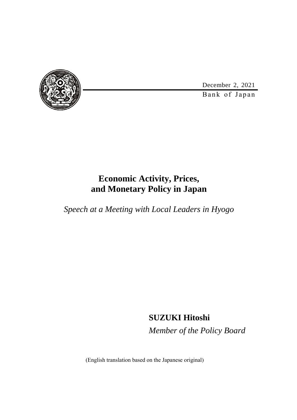December 2, 2021



Bank of Japan

## **Economic Activity, Prices, and Monetary Policy in Japan**

*Speech at a Meeting with Local Leaders in Hyogo*

**SUZUKI Hitoshi** *Member of the Policy Board*

(English translation based on the Japanese original)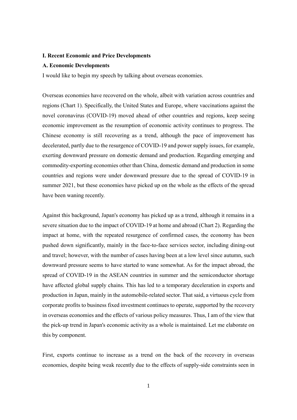#### **I. Recent Economic and Price Developments**

#### **A. Economic Developments**

I would like to begin my speech by talking about overseas economies.

Overseas economies have recovered on the whole, albeit with variation across countries and regions (Chart 1). Specifically, the United States and Europe, where vaccinations against the novel coronavirus (COVID-19) moved ahead of other countries and regions, keep seeing economic improvement as the resumption of economic activity continues to progress. The Chinese economy is still recovering as a trend, although the pace of improvement has decelerated, partly due to the resurgence of COVID-19 and power supply issues, for example, exerting downward pressure on domestic demand and production. Regarding emerging and commodity-exporting economies other than China, domestic demand and production in some countries and regions were under downward pressure due to the spread of COVID-19 in summer 2021, but these economies have picked up on the whole as the effects of the spread have been waning recently.

Against this background, Japan's economy has picked up as a trend, although it remains in a severe situation due to the impact of COVID-19 at home and abroad (Chart 2). Regarding the impact at home, with the repeated resurgence of confirmed cases, the economy has been pushed down significantly, mainly in the face-to-face services sector, including dining-out and travel; however, with the number of cases having been at a low level since autumn, such downward pressure seems to have started to wane somewhat. As for the impact abroad, the spread of COVID-19 in the ASEAN countries in summer and the semiconductor shortage have affected global supply chains. This has led to a temporary deceleration in exports and production in Japan, mainly in the automobile-related sector. That said, a virtuous cycle from corporate profits to business fixed investment continues to operate, supported by the recovery in overseas economies and the effects of various policy measures. Thus, I am of the view that the pick-up trend in Japan's economic activity as a whole is maintained. Let me elaborate on this by component.

First, exports continue to increase as a trend on the back of the recovery in overseas economies, despite being weak recently due to the effects of supply-side constraints seen in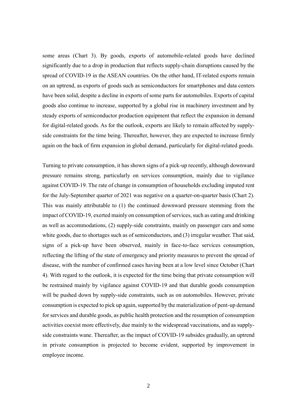some areas (Chart 3). By goods, exports of automobile-related goods have declined significantly due to a drop in production that reflects supply-chain disruptions caused by the spread of COVID-19 in the ASEAN countries. On the other hand, IT-related exports remain on an uptrend, as exports of goods such as semiconductors for smartphones and data centers have been solid, despite a decline in exports of some parts for automobiles. Exports of capital goods also continue to increase, supported by a global rise in machinery investment and by steady exports of semiconductor production equipment that reflect the expansion in demand for digital-related goods. As for the outlook, exports are likely to remain affected by supplyside constraints for the time being. Thereafter, however, they are expected to increase firmly again on the back of firm expansion in global demand, particularly for digital-related goods.

Turning to private consumption, it has shown signs of a pick-up recently, although downward pressure remains strong, particularly on services consumption, mainly due to vigilance against COVID-19. The rate of change in consumption of households excluding imputed rent for the July-September quarter of 2021 was negative on a quarter-on-quarter basis (Chart 2). This was mainly attributable to (1) the continued downward pressure stemming from the impact of COVID-19, exerted mainly on consumption of services, such as eating and drinking as well as accommodations, (2) supply-side constraints, mainly on passenger cars and some white goods, due to shortages such as of semiconductors, and (3) irregular weather. That said, signs of a pick-up have been observed, mainly in face-to-face services consumption, reflecting the lifting of the state of emergency and priority measures to prevent the spread of disease, with the number of confirmed cases having been at a low level since October (Chart 4). With regard to the outlook, it is expected for the time being that private consumption will be restrained mainly by vigilance against COVID-19 and that durable goods consumption will be pushed down by supply-side constraints, such as on automobiles. However, private consumption is expected to pick up again, supported by the materialization of pent-up demand for services and durable goods, as public health protection and the resumption of consumption activities coexist more effectively, due mainly to the widespread vaccinations, and as supplyside constraints wane. Thereafter, as the impact of COVID-19 subsides gradually, an uptrend in private consumption is projected to become evident, supported by improvement in employee income.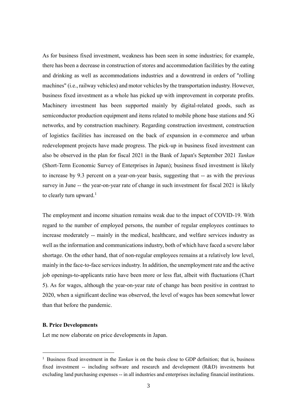As for business fixed investment, weakness has been seen in some industries; for example, there has been a decrease in construction of stores and accommodation facilities by the eating and drinking as well as accommodations industries and a downtrend in orders of "rolling machines" (i.e., railway vehicles) and motor vehicles by the transportation industry. However, business fixed investment as a whole has picked up with improvement in corporate profits. Machinery investment has been supported mainly by digital-related goods, such as semiconductor production equipment and items related to mobile phone base stations and 5G networks, and by construction machinery. Regarding construction investment, construction of logistics facilities has increased on the back of expansion in e-commerce and urban redevelopment projects have made progress. The pick-up in business fixed investment can also be observed in the plan for fiscal 2021 in the Bank of Japan's September 2021 *Tankan* (Short-Term Economic Survey of Enterprises in Japan); business fixed investment is likely to increase by 9.3 percent on a year-on-year basis, suggesting that -- as with the previous survey in June -- the year-on-year rate of change in such investment for fiscal 2021 is likely to clearly turn upward.<sup>1</sup>

The employment and income situation remains weak due to the impact of COVID-19. With regard to the number of employed persons, the number of regular employees continues to increase moderately -- mainly in the medical, healthcare, and welfare services industry as well as the information and communications industry, both of which have faced a severe labor shortage. On the other hand, that of non-regular employees remains at a relatively low level, mainly in the face-to-face services industry. In addition, the unemployment rate and the active job openings-to-applicants ratio have been more or less flat, albeit with fluctuations (Chart 5). As for wages, although the year-on-year rate of change has been positive in contrast to 2020, when a significant decline was observed, the level of wages has been somewhat lower than that before the pandemic.

#### **B. Price Developments**

-

Let me now elaborate on price developments in Japan.

<sup>1</sup> Business fixed investment in the *Tankan* is on the basis close to GDP definition; that is, business fixed investment -- including software and research and development (R&D) investments but excluding land purchasing expenses -- in all industries and enterprises including financial institutions.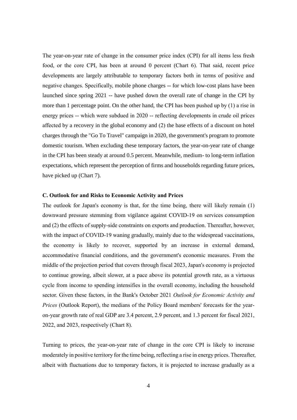The year-on-year rate of change in the consumer price index (CPI) for all items less fresh food, or the core CPI, has been at around 0 percent (Chart 6). That said, recent price developments are largely attributable to temporary factors both in terms of positive and negative changes. Specifically, mobile phone charges -- for which low-cost plans have been launched since spring 2021 -- have pushed down the overall rate of change in the CPI by more than 1 percentage point. On the other hand, the CPI has been pushed up by (1) a rise in energy prices -- which were subdued in 2020 -- reflecting developments in crude oil prices affected by a recovery in the global economy and (2) the base effects of a discount on hotel charges through the "Go To Travel" campaign in 2020, the government's program to promote domestic tourism. When excluding these temporary factors, the year-on-year rate of change in the CPI has been steady at around 0.5 percent. Meanwhile, medium- to long-term inflation expectations, which represent the perception of firms and households regarding future prices, have picked up (Chart 7).

### **C. Outlook for and Risks to Economic Activity and Prices**

The outlook for Japan's economy is that, for the time being, there will likely remain (1) downward pressure stemming from vigilance against COVID-19 on services consumption and (2) the effects of supply-side constraints on exports and production. Thereafter, however, with the impact of COVID-19 waning gradually, mainly due to the widespread vaccinations, the economy is likely to recover, supported by an increase in external demand, accommodative financial conditions, and the government's economic measures. From the middle of the projection period that covers through fiscal 2023, Japan's economy is projected to continue growing, albeit slower, at a pace above its potential growth rate, as a virtuous cycle from income to spending intensifies in the overall economy, including the household sector. Given these factors, in the Bank's October 2021 *Outlook for Economic Activity and Prices* (Outlook Report), the medians of the Policy Board members' forecasts for the yearon-year growth rate of real GDP are 3.4 percent, 2.9 percent, and 1.3 percent for fiscal 2021, 2022, and 2023, respectively (Chart 8).

Turning to prices, the year-on-year rate of change in the core CPI is likely to increase moderately in positive territory for the time being, reflecting a rise in energy prices. Thereafter, albeit with fluctuations due to temporary factors, it is projected to increase gradually as a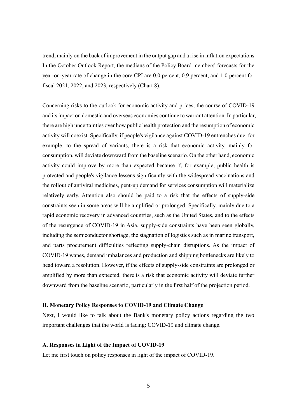trend, mainly on the back of improvement in the output gap and a rise in inflation expectations. In the October Outlook Report, the medians of the Policy Board members' forecasts for the year-on-year rate of change in the core CPI are 0.0 percent, 0.9 percent, and 1.0 percent for fiscal 2021, 2022, and 2023, respectively (Chart 8).

Concerning risks to the outlook for economic activity and prices, the course of COVID-19 and its impact on domestic and overseas economies continue to warrant attention. In particular, there are high uncertainties over how public health protection and the resumption of economic activity will coexist. Specifically, if people's vigilance against COVID-19 entrenches due, for example, to the spread of variants, there is a risk that economic activity, mainly for consumption, will deviate downward from the baseline scenario. On the other hand, economic activity could improve by more than expected because if, for example, public health is protected and people's vigilance lessens significantly with the widespread vaccinations and the rollout of antiviral medicines, pent-up demand for services consumption will materialize relatively early. Attention also should be paid to a risk that the effects of supply-side constraints seen in some areas will be amplified or prolonged. Specifically, mainly due to a rapid economic recovery in advanced countries, such as the United States, and to the effects of the resurgence of COVID-19 in Asia, supply-side constraints have been seen globally, including the semiconductor shortage, the stagnation of logistics such as in marine transport, and parts procurement difficulties reflecting supply-chain disruptions. As the impact of COVID-19 wanes, demand imbalances and production and shipping bottlenecks are likely to head toward a resolution. However, if the effects of supply-side constraints are prolonged or amplified by more than expected, there is a risk that economic activity will deviate further downward from the baseline scenario, particularly in the first half of the projection period.

#### **II. Monetary Policy Responses to COVID-19 and Climate Change**

Next, I would like to talk about the Bank's monetary policy actions regarding the two important challenges that the world is facing: COVID-19 and climate change.

#### **A. Responses in Light of the Impact of COVID-19**

Let me first touch on policy responses in light of the impact of COVID-19.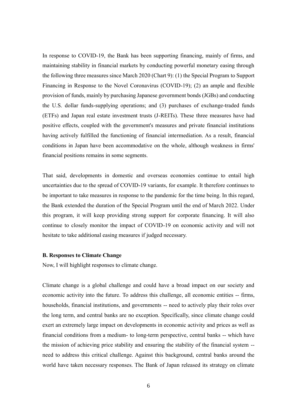In response to COVID-19, the Bank has been supporting financing, mainly of firms, and maintaining stability in financial markets by conducting powerful monetary easing through the following three measures since March 2020 (Chart 9): (1) the Special Program to Support Financing in Response to the Novel Coronavirus (COVID-19); (2) an ample and flexible provision of funds, mainly by purchasing Japanese government bonds (JGBs) and conducting the U.S. dollar funds-supplying operations; and (3) purchases of exchange-traded funds (ETFs) and Japan real estate investment trusts (J-REITs). These three measures have had positive effects, coupled with the government's measures and private financial institutions having actively fulfilled the functioning of financial intermediation. As a result, financial conditions in Japan have been accommodative on the whole, although weakness in firms' financial positions remains in some segments.

That said, developments in domestic and overseas economies continue to entail high uncertainties due to the spread of COVID-19 variants, for example. It therefore continues to be important to take measures in response to the pandemic for the time being. In this regard, the Bank extended the duration of the Special Program until the end of March 2022. Under this program, it will keep providing strong support for corporate financing. It will also continue to closely monitor the impact of COVID-19 on economic activity and will not hesitate to take additional easing measures if judged necessary.

### **B. Responses to Climate Change**

Now, I will highlight responses to climate change.

Climate change is a global challenge and could have a broad impact on our society and economic activity into the future. To address this challenge, all economic entities -- firms, households, financial institutions, and governments -- need to actively play their roles over the long term, and central banks are no exception. Specifically, since climate change could exert an extremely large impact on developments in economic activity and prices as well as financial conditions from a medium- to long-term perspective, central banks -- which have the mission of achieving price stability and ensuring the stability of the financial system - need to address this critical challenge. Against this background, central banks around the world have taken necessary responses. The Bank of Japan released its strategy on climate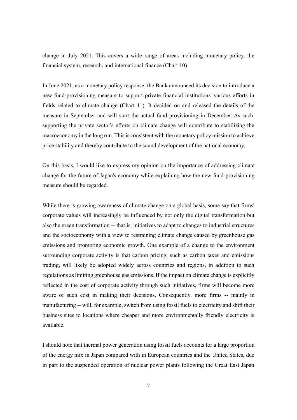change in July 2021. This covers a wide range of areas including monetary policy, the financial system, research, and international finance (Chart 10).

In June 2021, as a monetary policy response, the Bank announced its decision to introduce a new fund-provisioning measure to support private financial institutions' various efforts in fields related to climate change (Chart 11). It decided on and released the details of the measure in September and will start the actual fund-provisioning in December. As such, supporting the private sector's efforts on climate change will contribute to stabilizing the macroeconomy in the long run. This is consistent with the monetary policy mission to achieve price stability and thereby contribute to the sound development of the national economy.

On this basis, I would like to express my opinion on the importance of addressing climate change for the future of Japan's economy while explaining how the new fund-provisioning measure should be regarded.

While there is growing awareness of climate change on a global basis, some say that firms' corporate values will increasingly be influenced by not only the digital transformation but also the green transformation -- that is, initiatives to adapt to changes to industrial structures and the socioeconomy with a view to restraining climate change caused by greenhouse gas emissions and promoting economic growth. One example of a change to the environment surrounding corporate activity is that carbon pricing, such as carbon taxes and emissions trading, will likely be adopted widely across countries and regions, in addition to such regulations as limiting greenhouse gas emissions. If the impact on climate change is explicitly reflected in the cost of corporate activity through such initiatives, firms will become more aware of such cost in making their decisions. Consequently, more firms -- mainly in manufacturing -- will, for example, switch from using fossil fuels to electricity and shift their business sites to locations where cheaper and more environmentally friendly electricity is available.

I should note that thermal power generation using fossil fuels accounts for a large proportion of the energy mix in Japan compared with in European countries and the United States, due in part to the suspended operation of nuclear power plants following the Great East Japan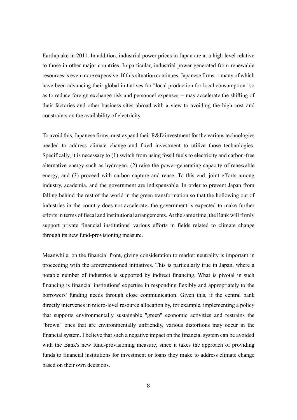Earthquake in 2011. In addition, industrial power prices in Japan are at a high level relative to those in other major countries. In particular, industrial power generated from renewable resources is even more expensive. If this situation continues, Japanese firms -- many of which have been advancing their global initiatives for "local production for local consumption" so as to reduce foreign exchange risk and personnel expenses -- may accelerate the shifting of their factories and other business sites abroad with a view to avoiding the high cost and constraints on the availability of electricity.

To avoid this, Japanese firms must expand their R&D investment for the various technologies needed to address climate change and fixed investment to utilize those technologies. Specifically, it is necessary to (1) switch from using fossil fuels to electricity and carbon-free alternative energy such as hydrogen, (2) raise the power-generating capacity of renewable energy, and (3) proceed with carbon capture and reuse. To this end, joint efforts among industry, academia, and the government are indispensable. In order to prevent Japan from falling behind the rest of the world in the green transformation so that the hollowing out of industries in the country does not accelerate, the government is expected to make further efforts in terms of fiscal and institutional arrangements. At the same time, the Bank will firmly support private financial institutions' various efforts in fields related to climate change through its new fund-provisioning measure.

Meanwhile, on the financial front, giving consideration to market neutrality is important in proceeding with the aforementioned initiatives. This is particularly true in Japan, where a notable number of industries is supported by indirect financing. What is pivotal in such financing is financial institutions' expertise in responding flexibly and appropriately to the borrowers' funding needs through close communication. Given this, if the central bank directly intervenes in micro-level resource allocation by, for example, implementing a policy that supports environmentally sustainable "green" economic activities and restrains the "brown" ones that are environmentally unfriendly, various distortions may occur in the financial system. I believe that such a negative impact on the financial system can be avoided with the Bank's new fund-provisioning measure, since it takes the approach of providing funds to financial institutions for investment or loans they make to address climate change based on their own decisions.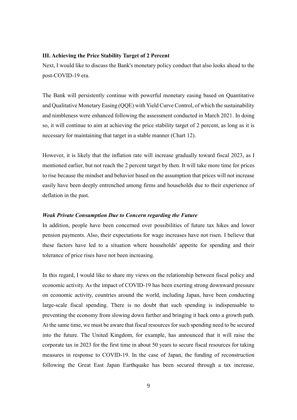#### **III. Achieving the Price Stability Target of 2 Percent**

Next, I would like to discuss the Bank's monetary policy conduct that also looks ahead to the post-COVID-19 era.

The Bank will persistently continue with powerful monetary easing based on Quantitative and Qualitative Monetary Easing (QQE) with Yield Curve Control, of which the sustainability and nimbleness were enhanced following the assessment conducted in March 2021. In doing so, it will continue to aim at achieving the price stability target of 2 percent, as long as it is necessary for maintaining that target in a stable manner (Chart 12).

However, it is likely that the inflation rate will increase gradually toward fiscal 2023, as I mentioned earlier, but not reach the 2 percent target by then. It will take more time for prices to rise because the mindset and behavior based on the assumption that prices will not increase easily have been deeply entrenched among firms and households due to their experience of deflation in the past.

#### *Weak Private Consumption Due to Concern regarding the Future*

In addition, people have been concerned over possibilities of future tax hikes and lower pension payments. Also, their expectations for wage increases have not risen. I believe that these factors have led to a situation where households' appetite for spending and their tolerance of price rises have not been increasing.

In this regard, I would like to share my views on the relationship between fiscal policy and economic activity. As the impact of COVID-19 has been exerting strong downward pressure on economic activity, countries around the world, including Japan, have been conducting large-scale fiscal spending. There is no doubt that such spending is indispensable to preventing the economy from slowing down further and bringing it back onto a growth path. At the same time, we must be aware that fiscal resources for such spending need to be secured into the future. The United Kingdom, for example, has announced that it will raise the corporate tax in 2023 for the first time in about 50 years to secure fiscal resources for taking measures in response to COVID-19. In the case of Japan, the funding of reconstruction following the Great East Japan Earthquake has been secured through a tax increase,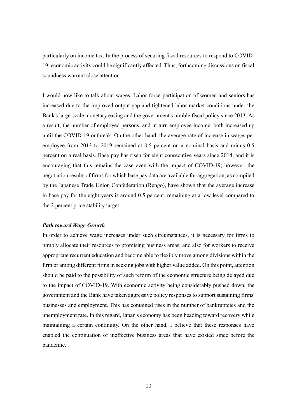particularly on income tax. In the process of securing fiscal resources to respond to COVID-19, economic activity could be significantly affected. Thus, forthcoming discussions on fiscal soundness warrant close attention.

I would now like to talk about wages. Labor force participation of women and seniors has increased due to the improved output gap and tightened labor market conditions under the Bank's large-scale monetary easing and the government's nimble fiscal policy since 2013. As a result, the number of employed persons, and in turn employee income, both increased up until the COVID-19 outbreak. On the other hand, the average rate of increase in wages per employee from 2013 to 2019 remained at 0.5 percent on a nominal basis and minus 0.5 percent on a real basis. Base pay has risen for eight consecutive years since 2014, and it is encouraging that this remains the case even with the impact of COVID-19; however, the negotiation results of firms for which base pay data are available for aggregation, as compiled by the Japanese Trade Union Confederation (Rengo), have shown that the average increase in base pay for the eight years is around 0.5 percent, remaining at a low level compared to the 2 percent price stability target.

#### *Path toward Wage Growth*

In order to achieve wage increases under such circumstances, it is necessary for firms to nimbly allocate their resources to promising business areas, and also for workers to receive appropriate recurrent education and become able to flexibly move among divisions within the firm or among different firms in seeking jobs with higher value added. On this point, attention should be paid to the possibility of such reform of the economic structure being delayed due to the impact of COVID-19. With economic activity being considerably pushed down, the government and the Bank have taken aggressive policy responses to support sustaining firms' businesses and employment. This has contained rises in the number of bankruptcies and the unemployment rate. In this regard, Japan's economy has been heading toward recovery while maintaining a certain continuity. On the other hand, I believe that these responses have enabled the continuation of ineffective business areas that have existed since before the pandemic.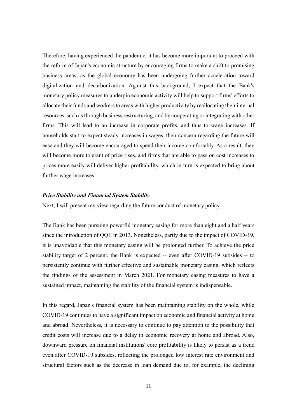Therefore, having experienced the pandemic, it has become more important to proceed with the reform of Japan's economic structure by encouraging firms to make a shift to promising business areas, as the global economy has been undergoing further acceleration toward digitalization and decarbonization. Against this background, I expect that the Bank's monetary policy measures to underpin economic activity will help to support firms' efforts to allocate their funds and workers to areas with higher productivity by reallocating their internal resources, such as through business restructuring, and by cooperating or integrating with other firms. This will lead to an increase in corporate profits, and thus to wage increases. If households start to expect steady increases in wages, their concern regarding the future will ease and they will become encouraged to spend their income comfortably. As a result, they will become more tolerant of price rises, and firms that are able to pass on cost increases to prices more easily will deliver higher profitability, which in turn is expected to bring about further wage increases.

### *Price Stability and Financial System Stability*

Next, I will present my view regarding the future conduct of monetary policy.

The Bank has been pursuing powerful monetary easing for more than eight and a half years since the introduction of QQE in 2013. Nonetheless, partly due to the impact of COVID-19, it is unavoidable that this monetary easing will be prolonged further. To achieve the price stability target of 2 percent, the Bank is expected -- even after COVID-19 subsides -- to persistently continue with further effective and sustainable monetary easing, which reflects the findings of the assessment in March 2021. For monetary easing measures to have a sustained impact, maintaining the stability of the financial system is indispensable.

In this regard, Japan's financial system has been maintaining stability on the whole, while COVID-19 continues to have a significant impact on economic and financial activity at home and abroad. Nevertheless, it is necessary to continue to pay attention to the possibility that credit costs will increase due to a delay in economic recovery at home and abroad. Also, downward pressure on financial institutions' core profitability is likely to persist as a trend even after COVID-19 subsides, reflecting the prolonged low interest rate environment and structural factors such as the decrease in loan demand due to, for example, the declining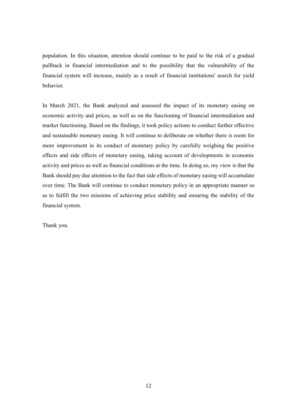population. In this situation, attention should continue to be paid to the risk of a gradual pullback in financial intermediation and to the possibility that the vulnerability of the financial system will increase, mainly as a result of financial institutions' search for yield behavior.

In March 2021, the Bank analyzed and assessed the impact of its monetary easing on economic activity and prices, as well as on the functioning of financial intermediation and market functioning. Based on the findings, it took policy actions to conduct further effective and sustainable monetary easing. It will continue to deliberate on whether there is room for more improvement in its conduct of monetary policy by carefully weighing the positive effects and side effects of monetary easing, taking account of developments in economic activity and prices as well as financial conditions at the time. In doing so, my view is that the Bank should pay due attention to the fact that side effects of monetary easing will accumulate over time. The Bank will continue to conduct monetary policy in an appropriate manner so as to fulfill the two missions of achieving price stability and ensuring the stability of the financial system.

Thank you.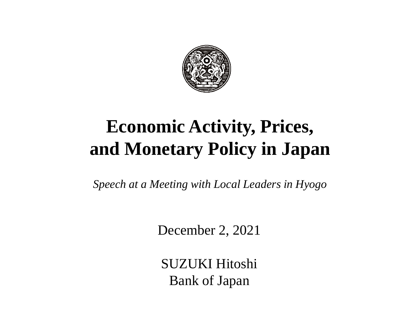

# **Economic Activity, Prices, and Monetary Policy in Japan**

*Speech at a Meeting with Local Leaders in Hyogo* 

December 2, 2021

SUZUKI Hitoshi Bank of Japan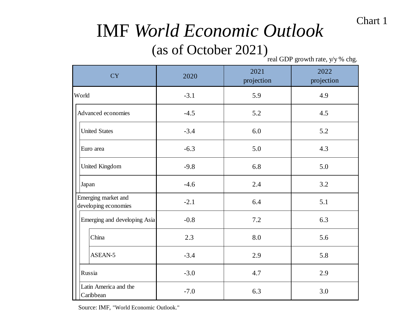# IMF *World Economic Outlook*

# (as of October 2021)

real GDP growth rate, y/y % chg.

| <b>CY</b>                                   | 2020   | 2021<br>projection | 2022<br>projection |  |
|---------------------------------------------|--------|--------------------|--------------------|--|
| World                                       | $-3.1$ | 5.9                | 4.9                |  |
| Advanced economies                          | $-4.5$ | 5.2                | 4.5                |  |
| <b>United States</b>                        | $-3.4$ | 6.0                | 5.2                |  |
| Euro area                                   | $-6.3$ | 5.0                | 4.3                |  |
| United Kingdom                              | $-9.8$ | 6.8                | 5.0                |  |
| Japan                                       | $-4.6$ | 2.4                | 3.2                |  |
| Emerging market and<br>developing economies | $-2.1$ | 6.4                | 5.1                |  |
| $-0.8$<br>Emerging and developing Asia      |        | 7.2                | 6.3                |  |
| China                                       | 2.3    | 8.0                | 5.6                |  |
| ASEAN-5                                     | $-3.4$ | 2.9                | 5.8                |  |
| Russia                                      | $-3.0$ | 4.7                | 2.9                |  |
| Latin America and the<br>Caribbean          | $-7.0$ | 6.3                | 3.0                |  |

Source: IMF, "World Economic Outlook."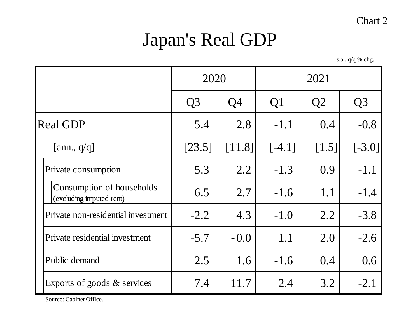# Japan's Real GDP

s.a., q/q % chg.

|                                                       | 2020           |                | 2021           |                |                |
|-------------------------------------------------------|----------------|----------------|----------------|----------------|----------------|
|                                                       | Q <sub>3</sub> | Q <sub>4</sub> | Q <sub>1</sub> | Q <sub>2</sub> | Q <sub>3</sub> |
| <b>Real GDP</b>                                       | 5.4            | 2.8            | $-1.1$         | 0.4            | $-0.8$         |
| [ann., $q/q$ ]                                        | [23.5]         | [11.8]         | $[-4.1]$       | $[1.5]$        | $[-3.0]$       |
| Private consumption                                   | 5.3            | 2.2            | $-1.3$         | 0.9            | $-1.1$         |
| Consumption of households<br>(excluding imputed rent) | 6.5            | 2.7            | $-1.6$         | 1.1            | $-1.4$         |
| Private non-residential investment                    | $-2.2$         | 4.3            | $-1.0$         | 2.2            | $-3.8$         |
| Private residential investment                        | $-5.7$         | $-0.0$         | 1.1            | 2.0            | $-2.6$         |
| Public demand                                         | 2.5            | 1.6            | $-1.6$         | 0.4            | 0.6            |
| Exports of goods $&$ services                         | 7.4            | 11.7           | 2.4            | 3.2            | $-2.1$         |

Source: Cabinet Office.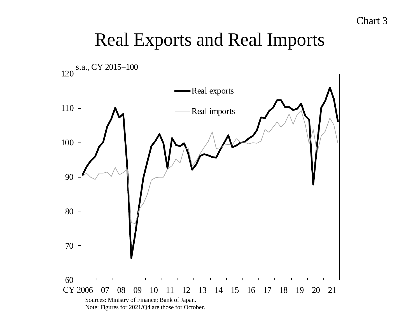# Real Exports and Real Imports

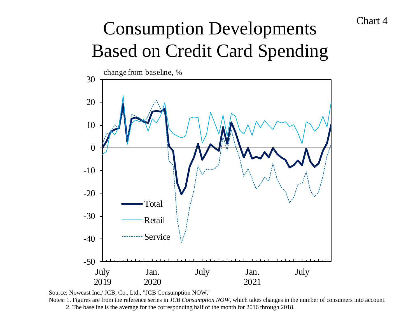# Consumption Developments Based on Credit Card Spending



Source: Nowcast Inc./ JCB, Co., Ltd., "JCB Consumption NOW."

Notes: 1. Figures are from the reference series in *JCB Consumption NOW*, which takes changes in the number of consumers into account. 2. The baseline is the average for the corresponding half of the month for 2016 through 2018.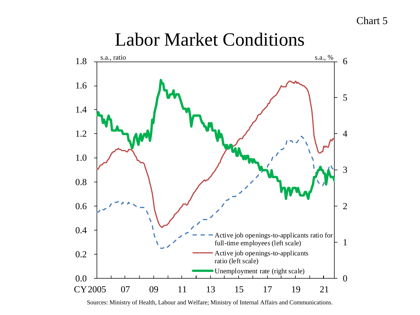

# Labor Market Conditions

Sources: Ministry of Health, Labour and Welfare; Ministry of Internal Affairs and Communications.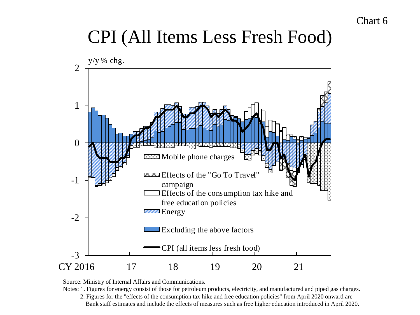# CPI (All Items Less Fresh Food)



Source: Ministry of Internal Affairs and Communications.

Notes: 1. Figures for energy consist of those for petroleum products, electricity, and manufactured and piped gas charges.

2. Figures for the "effects of the consumption tax hike and free education policies" from April 2020 onward are Bank staff estimates and include the effects of measures such as free higher education introduced in April 2020.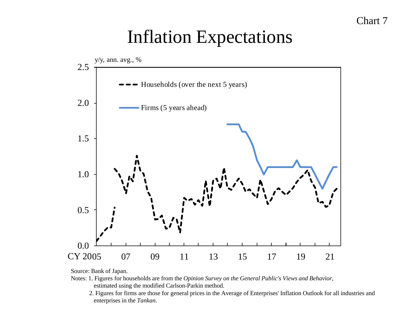# Inflation Expectations



Source: Bank of Japan.

- Notes: 1. Figures for households are from the *Opinion Survey on the General Public's Views and Behavior*, estimated using the modified Carlson-Parkin method.
	- 2. Figures for firms are those for general prices in the Average of Enterprises' Inflation Outlook for all industries and enterprises in the *Tankan*.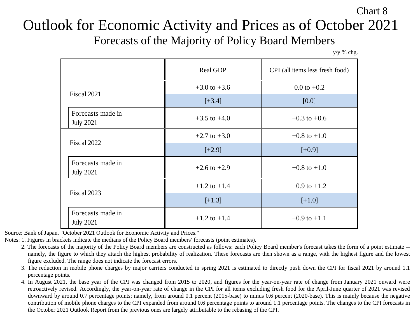Outlook for Economic Activity and Prices as of October 2021 Forecasts of the Majority of Policy Board Members

y/y % chg.

Chart 8

|                                       | Real GDP         | CPI (all items less fresh food) |  |
|---------------------------------------|------------------|---------------------------------|--|
| Fiscal 2021                           | $+3.0$ to $+3.6$ | $0.0$ to $+0.2$                 |  |
|                                       | $[+3.4]$         | [0.0]                           |  |
| Forecasts made in<br><b>July 2021</b> | $+3.5$ to $+4.0$ | $+0.3$ to $+0.6$                |  |
| Fiscal 2022                           | $+2.7$ to $+3.0$ | $+0.8$ to $+1.0$                |  |
|                                       | $[+2.9]$         | $[+0.9]$                        |  |
| Forecasts made in<br><b>July 2021</b> | $+2.6$ to $+2.9$ | $+0.8$ to $+1.0$                |  |
| Fiscal 2023                           | $+1.2$ to $+1.4$ | $+0.9$ to $+1.2$                |  |
|                                       | $[+1.3]$         | $[+1.0]$                        |  |
| Forecasts made in<br><b>July 2021</b> | $+1.2$ to $+1.4$ | $+0.9$ to $+1.1$                |  |

Source: Bank of Japan, "October 2021 Outlook for Economic Activity and Prices."

Notes: 1. Figures in brackets indicate the medians of the Policy Board members' forecasts (point estimates).

- 2. The forecasts of the majority of the Policy Board members are constructed as follows: each Policy Board member's forecast takes the form of a point estimate namely, the figure to which they attach the highest probability of realization. These forecasts are then shown as a range, with the highest figure and the lowest figure excluded. The range does not indicate the forecast errors.
- 3. The reduction in mobile phone charges by major carriers conducted in spring 2021 is estimated to directly push down the CPI for fiscal 2021 by around 1.1 percentage points.
- 4. In August 2021, the base year of the CPI was changed from 2015 to 2020, and figures for the year-on-year rate of change from January 2021 onward were retroactively revised. Accordingly, the year-on-year rate of change in the CPI for all items excluding fresh food for the April-June quarter of 2021 was revised downward by around 0.7 percentage points; namely, from around 0.1 percent (2015-base) to minus 0.6 percent (2020-base). This is mainly because the negative contribution of mobile phone charges to the CPI expanded from around 0.6 percentage points to around 1.1 percentage points. The changes to the CPI forecasts in the October 2021 Outlook Report from the previous ones are largely attributable to the rebasing of the CPI.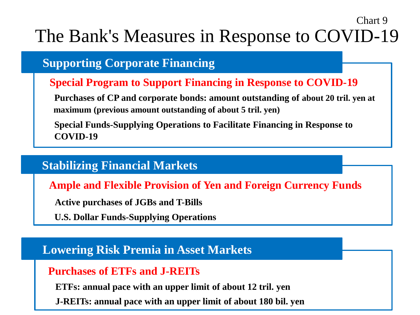# The Bank's Measures in Response to COVID-19

Chart 9

## **Supporting Corporate Financing**

## **Special Program to Support Financing in Response to COVID-19**

**Purchases of CP and corporate bonds: amount outstanding of about 20 tril. yen at maximum (previous amount outstanding of about 5 tril. yen)**

**Special Funds-Supplying Operations to Facilitate Financing in Response to COVID-19**

## **Stabilizing Financial Markets**

**Ample and Flexible Provision of Yen and Foreign Currency Funds**

**Active purchases of JGBs and T-Bills**

**U.S. Dollar Funds-Supplying Operations**

# **Lowering Risk Premia in Asset Markets**

## **Purchases of ETFs and J-REITs**

**ETFs: annual pace with an upper limit of about 12 tril. yen**

**J-REITs: annual pace with an upper limit of about 180 bil. yen**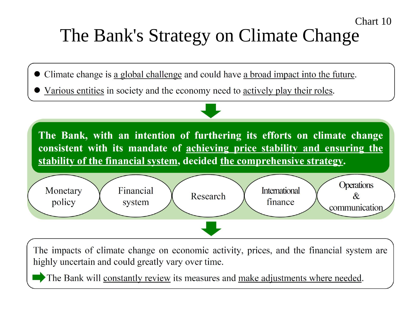# Chart 10 The Bank's Strategy on Climate Change

- Climate change is a global challenge and could have a broad impact into the future.
- Various entities in society and the economy need to actively play their roles.



The impacts of climate change on economic activity, prices, and the financial system are highly uncertain and could greatly vary over time.

The Bank will constantly review its measures and make adjustments where needed.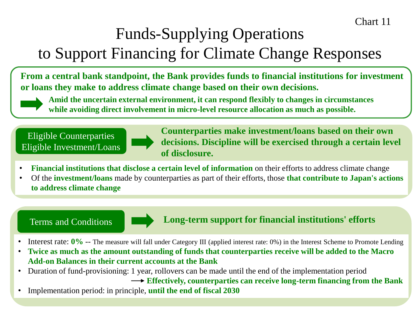# Funds-Supplying Operations to Support Financing for Climate Change Responses

**From a central bank standpoint, the Bank provides funds to financial institutions for investment or loans they make to address climate change based on their own decisions.**

**Amid the uncertain external environment, it can respond flexibly to changes in circumstances while avoiding direct involvement in micro-level resource allocation as much as possible.**

Eligible Counterparties Eligible Investment/Loans

**Counterparties make investment/loans based on their own decisions. Discipline will be exercised through a certain level of disclosure.**

- **Financial institutions that disclose a certain level of information** on their efforts to address climate change
- Of the **investment/loans** made by counterparties as part of their efforts, those **that contribute to Japan's actions to address climate change**



## Terms and Conditions **Long-term support for financial institutions' efforts**

- Interest rate:  $0\%$  -- The measure will fall under Category III (applied interest rate: 0%) in the Interest Scheme to Promote Lending
- **Twice as much as the amount outstanding of funds that counterparties receive will be added to the Macro Add-on Balances in their current accounts at the Bank**
- Duration of fund-provisioning: 1 year, rollovers can be made until the end of the implementation period

**Effectively, counterparties can receive long-term financing from the Bank**

• Implementation period: in principle, **until the end of fiscal 2030**